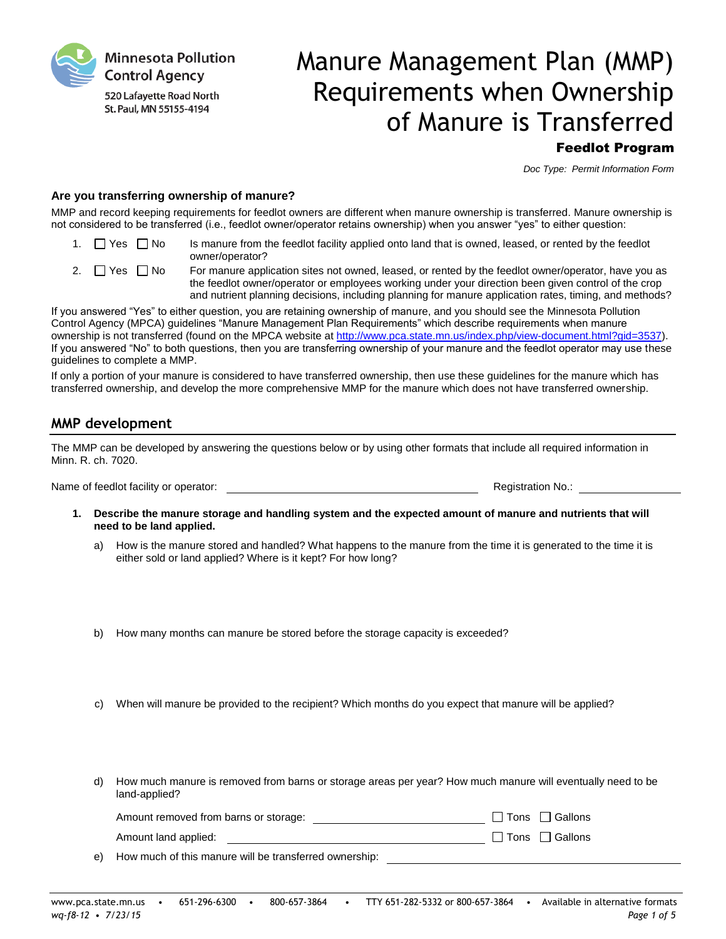**Minnesota Pollution Control Agency** 

520 Lafayette Road North St. Paul, MN 55155-4194

# Manure Management Plan (MMP) Requirements when Ownership of Manure is Transferred

Feedlot Program

*Doc Type: Permit Information Form*

# **Are you transferring ownership of manure?**

MMP and record keeping requirements for feedlot owners are different when manure ownership is transferred. Manure ownership is not considered to be transferred (i.e., feedlot owner/operator retains ownership) when you answer "yes" to either question:

- 1.  $\Box$  Yes  $\Box$  No Is manure from the feedlot facility applied onto land that is owned, leased, or rented by the feedlot owner/operator?
- 2.  $\Box$  Yes  $\Box$  No For manure application sites not owned, leased, or rented by the feedlot owner/operator, have you as the feedlot owner/operator or employees working under your direction been given control of the crop and nutrient planning decisions, including planning for manure application rates, timing, and methods?

If you answered "Yes" to either question, you are retaining ownership of manure, and you should see the Minnesota Pollution Control Agency (MPCA) guidelines "Manure Management Plan Requirements" which describe requirements when manure ownership is not transferred (found on the MPCA website at [http://www.pca.state.mn.us/index.php/view-document.html?gid=3537\)](http://www.pca.state.mn.us/index.php/view-document.html?gid=3537). If you answered "No" to both questions, then you are transferring ownership of your manure and the feedlot operator may use these guidelines to complete a MMP.

If only a portion of your manure is considered to have transferred ownership, then use these guidelines for the manure which has transferred ownership, and develop the more comprehensive MMP for the manure which does not have transferred ownership.

# **MMP development**

The MMP can be developed by answering the questions below or by using other formats that include all required information in Minn. R. ch. 7020.

Name of feedlot facility or operator:  $\blacksquare$ 

- **1. Describe the manure storage and handling system and the expected amount of manure and nutrients that will need to be land applied.**
	- a) How is the manure stored and handled? What happens to the manure from the time it is generated to the time it is either sold or land applied? Where is it kept? For how long?
	- b) How many months can manure be stored before the storage capacity is exceeded?
	- c) When will manure be provided to the recipient? Which months do you expect that manure will be applied?
	- d) How much manure is removed from barns or storage areas per year? How much manure will eventually need to be land-applied?

| Amount removed from barns or storage: |  | $\Box$ Tons $\Box$ Gallons |
|---------------------------------------|--|----------------------------|
| Amount land applied:                  |  | □ Tons □ Gallons           |

e) How much of this manure will be transferred ownership: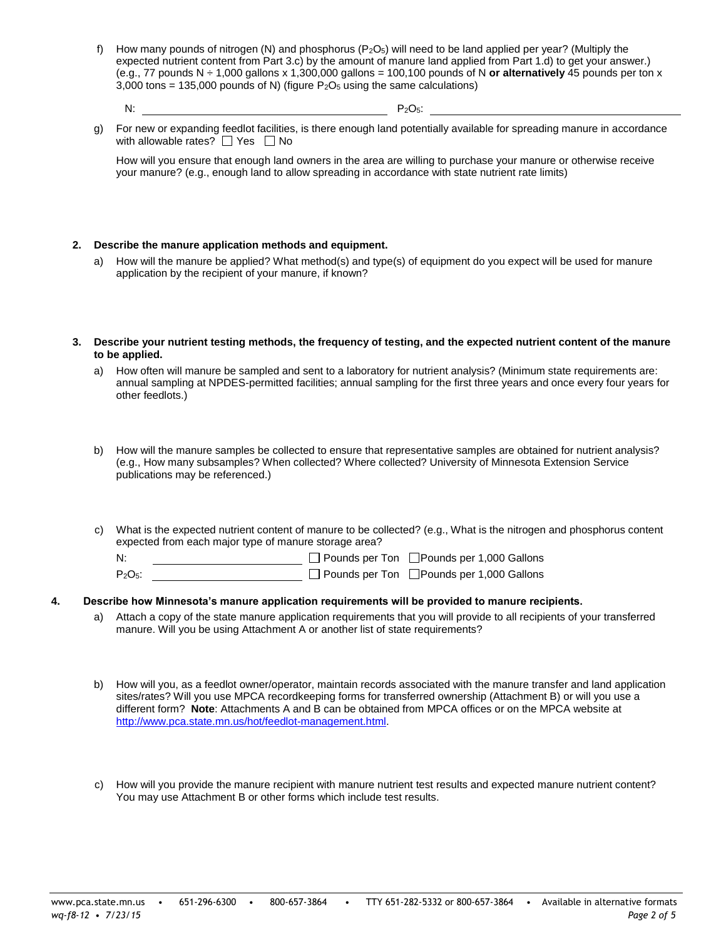f) How many pounds of nitrogen (N) and phosphorus ( $P_2O_5$ ) will need to be land applied per year? (Multiply the expected nutrient content from Part 3.c) by the amount of manure land applied from Part 1.d) to get your answer.) (e.g., 77 pounds N ÷ 1,000 gallons x 1,300,000 gallons = 100,100 pounds of N **or alternatively** 45 pounds per ton x 3,000 tons = 135,000 pounds of N) (figure  $P_2O_5$  using the same calculations)

 $N:$  P<sub>2</sub>O<sub>5</sub>:

g) For new or expanding feedlot facilities, is there enough land potentially available for spreading manure in accordance with allowable rates?  $\Box$  Yes  $\Box$  No

How will you ensure that enough land owners in the area are willing to purchase your manure or otherwise receive your manure? (e.g., enough land to allow spreading in accordance with state nutrient rate limits)

## **2. Describe the manure application methods and equipment.**

- a) How will the manure be applied? What method(s) and type(s) of equipment do you expect will be used for manure application by the recipient of your manure, if known?
- **3. Describe your nutrient testing methods, the frequency of testing, and the expected nutrient content of the manure to be applied.**
	- a) How often will manure be sampled and sent to a laboratory for nutrient analysis? (Minimum state requirements are: annual sampling at NPDES-permitted facilities; annual sampling for the first three years and once every four years for other feedlots.)
	- b) How will the manure samples be collected to ensure that representative samples are obtained for nutrient analysis? (e.g., How many subsamples? When collected? Where collected? University of Minnesota Extension Service publications may be referenced.)
	- c) What is the expected nutrient content of manure to be collected? (e.g., What is the nitrogen and phosphorus content expected from each major type of manure storage area?

N: <u>Prounds per Ton</u> Devinds per Ton Devinds per 1,000 Gallons P<sub>2</sub>O<sub>5</sub>: □ Pounds per Ton □ Pounds per 1,000 Gallons

- **4. Describe how Minnesota's manure application requirements will be provided to manure recipients.** a) Attach a copy of the state manure application requirements that you will provide to all recipients of your transferred
	- manure. Will you be using Attachment A or another list of state requirements?
	- b) How will you, as a feedlot owner/operator, maintain records associated with the manure transfer and land application sites/rates? Will you use MPCA recordkeeping forms for transferred ownership (Attachment B) or will you use a different form? **Note**: Attachments A and B can be obtained from MPCA offices or on the MPCA website at [http://www.pca.state.mn.us/hot/feedlot-management.html.](http://www.pca.state.mn.us/hot/feedlot-management.html)
	- c) How will you provide the manure recipient with manure nutrient test results and expected manure nutrient content? You may use Attachment B or other forms which include test results.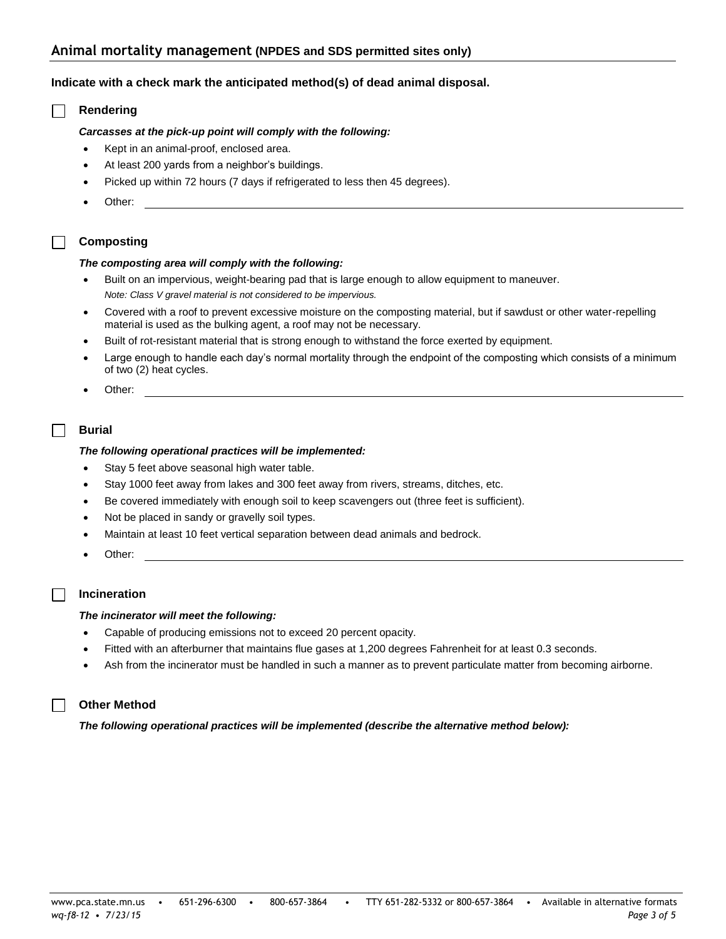# **Animal mortality management (NPDES and SDS permitted sites only)**

# **Indicate with a check mark the anticipated method(s) of dead animal disposal.**

# **Rendering**

 $\Box$ 

## *Carcasses at the pick-up point will comply with the following:*

- Kept in an animal-proof, enclosed area.
- At least 200 yards from a neighbor's buildings.
- Picked up within 72 hours (7 days if refrigerated to less then 45 degrees).
- Other:

# **Composting**

#### *The composting area will comply with the following:*

- Built on an impervious, weight-bearing pad that is large enough to allow equipment to maneuver. *Note: Class V gravel material is not considered to be impervious.*
- Covered with a roof to prevent excessive moisture on the composting material, but if sawdust or other water-repelling material is used as the bulking agent, a roof may not be necessary.
- Built of rot-resistant material that is strong enough to withstand the force exerted by equipment.
- Large enough to handle each day's normal mortality through the endpoint of the composting which consists of a minimum of two (2) heat cycles.
- Other:

# **Burial**

## *The following operational practices will be implemented:*

- Stay 5 feet above seasonal high water table.
- Stay 1000 feet away from lakes and 300 feet away from rivers, streams, ditches, etc.
- Be covered immediately with enough soil to keep scavengers out (three feet is sufficient).
- Not be placed in sandy or gravelly soil types.
- Maintain at least 10 feet vertical separation between dead animals and bedrock.
- Other:

# **Incineration**

## *The incinerator will meet the following:*

- Capable of producing emissions not to exceed 20 percent opacity.
- Fitted with an afterburner that maintains flue gases at 1,200 degrees Fahrenheit for at least 0.3 seconds.
- Ash from the incinerator must be handled in such a manner as to prevent particulate matter from becoming airborne.

# **Other Method**

*The following operational practices will be implemented (describe the alternative method below):*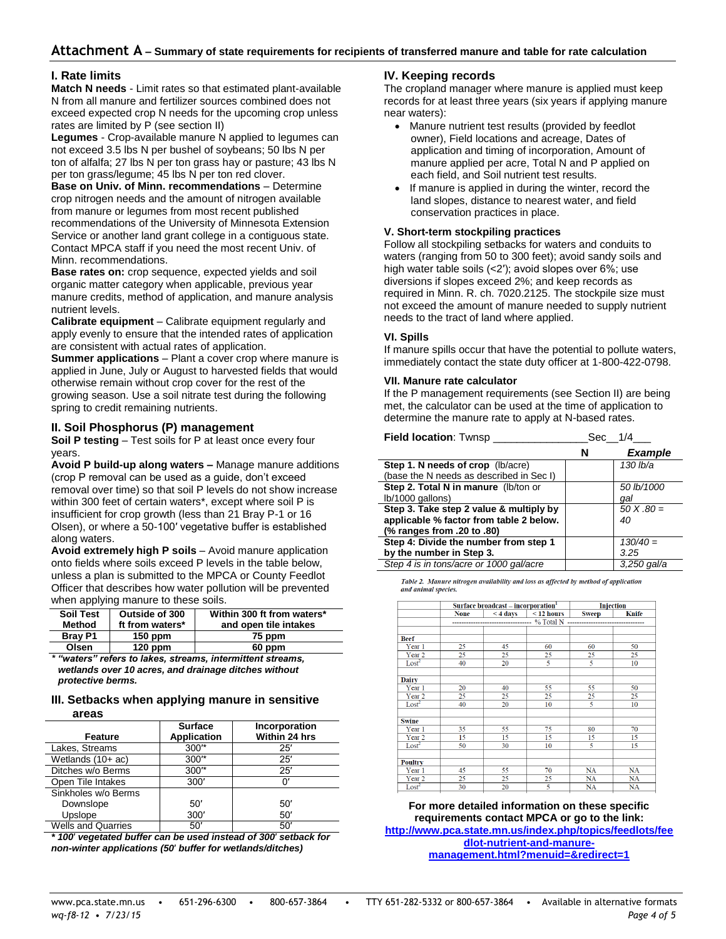# **Attachment A – Summary of state requirements for recipients of transferred manure and table for rate calculation**

# **I. Rate limits**

**Match N needs** - Limit rates so that estimated plant-available N from all manure and fertilizer sources combined does not exceed expected crop N needs for the upcoming crop unless rates are limited by P (see section II)

**Legumes** - Crop-available manure N applied to legumes can not exceed 3.5 lbs N per bushel of soybeans; 50 lbs N per ton of alfalfa; 27 lbs N per ton grass hay or pasture; 43 lbs N per ton grass/legume; 45 lbs N per ton red clover.

**Base on Univ. of Minn. recommendations** – Determine crop nitrogen needs and the amount of nitrogen available from manure or legumes from most recent published recommendations of the University of Minnesota Extension Service or another land grant college in a contiguous state. Contact MPCA staff if you need the most recent Univ. of Minn. recommendations.

**Base rates on:** crop sequence, expected yields and soil organic matter category when applicable, previous year manure credits, method of application, and manure analysis nutrient levels.

**Calibrate equipment** – Calibrate equipment regularly and apply evenly to ensure that the intended rates of application are consistent with actual rates of application.

**Summer applications** – Plant a cover crop where manure is applied in June, July or August to harvested fields that would otherwise remain without crop cover for the rest of the growing season. Use a soil nitrate test during the following spring to credit remaining nutrients.

## **II. Soil Phosphorus (P) management**

**Soil P testing** – Test soils for P at least once every four years.

**Avoid P build-up along waters –** Manage manure additions (crop P removal can be used as a guide, don't exceed removal over time) so that soil P levels do not show increase within 300 feet of certain waters\*, except where soil P is insufficient for crop growth (less than 21 Bray P-1 or 16 Olsen), or where a 50-100′ vegetative buffer is established along waters.

**Avoid extremely high P soils** – Avoid manure application onto fields where soils exceed P levels in the table below, unless a plan is submitted to the MPCA or County Feedlot Officer that describes how water pollution will be prevented when applying manure to these soils.

| <b>Soil Test</b> | Outside of 300  | Within 300 ft from waters* |
|------------------|-----------------|----------------------------|
| Method           | ft from waters* | and open tile intakes      |
| <b>Bray P1</b>   | $150$ ppm       | 75 ppm                     |
| Olsen            | $120$ ppm       | 60 ppm                     |

*\* "waters" refers to lakes, streams, intermittent streams, wetlands over 10 acres, and drainage ditches without protective berms.*

#### **III. Setbacks when applying manure in sensitive areas**

| Feature                       | <b>Surface</b><br><b>Application</b> | Incorporation<br>Within 24 hrs |
|-------------------------------|--------------------------------------|--------------------------------|
| Lakes, Streams                | $300*$                               | 25'                            |
| Wetlands $(10+ac)$            | $300*$                               | 25'                            |
| Ditches w/o Berms             | 300*                                 | 25'                            |
| Open Tile Intakes             | 300'                                 | n                              |
| Sinkholes w/o Berms           |                                      |                                |
| Downslope                     | 50'                                  | 50'                            |
| Upslope                       | 300'                                 | 50'                            |
| $\overline{\phantom{a}}$<br>. | ---                                  | ---                            |

Wells and Quarries  $\overline{50'}$  50′  $\overline{50}$ *\* 100*′ *vegetated buffer can be used instead of 300*′ *setback for*

*non-winter applications (50*′ *buffer for wetlands/ditches)*

## **IV. Keeping records**

The cropland manager where manure is applied must keep records for at least three years (six years if applying manure near waters):

- Manure nutrient test results (provided by feedlot owner), Field locations and acreage, Dates of application and timing of incorporation, Amount of manure applied per acre, Total N and P applied on each field, and Soil nutrient test results.
- If manure is applied in during the winter, record the land slopes, distance to nearest water, and field conservation practices in place.

#### **V. Short-term stockpiling practices**

Follow all stockpiling setbacks for waters and conduits to waters (ranging from 50 to 300 feet); avoid sandy soils and high water table soils (<2′); avoid slopes over 6%; use diversions if slopes exceed 2%; and keep records as required in Minn. R. ch. 7020.2125. The stockpile size must not exceed the amount of manure needed to supply nutrient needs to the tract of land where applied.

## **VI. Spills**

If manure spills occur that have the potential to pollute waters, immediately contact the state duty officer at 1-800-422-0798.

## **VII. Manure rate calculator**

If the P management requirements (see Section II) are being met, the calculator can be used at the time of application to determine the manure rate to apply at N-based rates.

| Field location: Twnsp                    | Sec 1/4 |                |  |
|------------------------------------------|---------|----------------|--|
|                                          | N       | <b>Example</b> |  |
| Step 1. N needs of crop (lb/acre)        |         | 130 lb/a       |  |
| (base the N needs as described in Sec I) |         |                |  |
| Step 2. Total N in manure (lb/ton or     |         | 50 lb/1000     |  |
| lb/1000 gallons)                         |         | qal            |  |
| Step 3. Take step 2 value & multiply by  |         | $50 X.80 =$    |  |
| applicable % factor from table 2 below.  |         | 40             |  |
| (% ranges from .20 to .80)               |         |                |  |
| Step 4: Divide the number from step 1    |         | $130/40 =$     |  |
| by the number in Step 3.                 |         | 3.25           |  |
| Step 4 is in tons/acre or 1000 gal/acre  |         | $3.250$ gal/a  |  |

Table 2. Manure nitrogen availability and loss as affected by method of application and animal species.

|                   |             | Surface broadcast - incorporation <sup>1</sup> | Injection       |              |           |  |
|-------------------|-------------|------------------------------------------------|-----------------|--------------|-----------|--|
|                   | <b>None</b> | $<$ 4 days                                     | $\leq$ 12 hours | <b>Sweep</b> | Knife     |  |
|                   |             |                                                |                 |              |           |  |
|                   |             |                                                |                 |              |           |  |
| <b>Beef</b>       |             |                                                |                 |              |           |  |
| Year 1            | 25          | 45                                             | 60              | 60           | 50        |  |
| Year <sub>2</sub> | 25          | 25                                             | 25              | 25           | 25        |  |
| $\text{Lost}^2$   | 40          | 20                                             | 5               | 5            | 10        |  |
| <b>Dairy</b>      |             |                                                |                 |              |           |  |
| Year 1            | 20          | 40                                             | 55              | 55           | 50        |  |
| Year <sub>2</sub> | 25          | 25                                             | 25              | 25           | 25        |  |
| Lost <sup>2</sup> | 40          | 20                                             | 10              | 5            | 10        |  |
| <b>Swine</b>      |             |                                                |                 |              |           |  |
| Year 1            | 35          | 55                                             | 75              | 80           | 70        |  |
| Year <sub>2</sub> | 15          | 15                                             | 15              | 15           | 15        |  |
| $\text{Lost}^2$   | 50          | 30                                             | 10              | 5            | 15        |  |
| Poultry           |             |                                                |                 |              |           |  |
| Year 1            | 45          | 55                                             | 70              | <b>NA</b>    | <b>NA</b> |  |
| Year <sub>2</sub> | 25          | 25                                             | 25              | <b>NA</b>    | <b>NA</b> |  |
| $\text{Lost}^2$   | 30          | 20                                             | 5               | <b>NA</b>    | NA        |  |
|                   |             |                                                |                 |              |           |  |

**For more detailed information on these specific requirements contact MPCA or go to the link: [http://www.pca.state.mn.us/index.php/topics/feedlots/fee](http://www.pca.state.mn.us/index.php/topics/feedlots/feedlot-nutrient-and-manure-management.html?menuid=&redirect=1) [dlot-nutrient-and-manure-](http://www.pca.state.mn.us/index.php/topics/feedlots/feedlot-nutrient-and-manure-management.html?menuid=&redirect=1)**

**[management.html?menuid=&redirect=1](http://www.pca.state.mn.us/index.php/topics/feedlots/feedlot-nutrient-and-manure-management.html?menuid=&redirect=1)**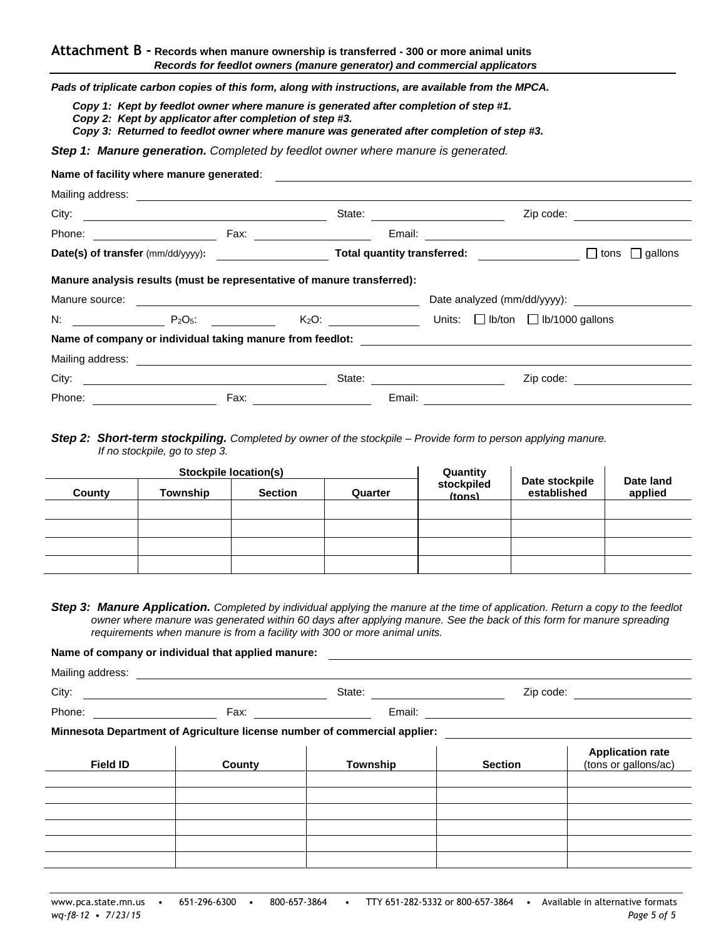*Pads of triplicate carbon copies of this form, along with instructions, are available from the MPCA.*

*Copy 1: Kept by feedlot owner where manure is generated after completion of step #1.*

*Copy 2: Kept by applicator after completion of step #3.*

*Copy 3: Returned to feedlot owner where manure was generated after completion of step #3.*

*Step 1: Manure generation. Completed by feedlot owner where manure is generated.*

| Name of facility where manure generated:                                                                                                                                                                                       |      |                               |  |                                 |  |                                                      |                                                                                                                                                                                                                               |
|--------------------------------------------------------------------------------------------------------------------------------------------------------------------------------------------------------------------------------|------|-------------------------------|--|---------------------------------|--|------------------------------------------------------|-------------------------------------------------------------------------------------------------------------------------------------------------------------------------------------------------------------------------------|
|                                                                                                                                                                                                                                |      |                               |  |                                 |  |                                                      |                                                                                                                                                                                                                               |
| City:                                                                                                                                                                                                                          |      |                               |  | State: <u>_________________</u> |  |                                                      | Zip code: The contract of the contract of the contract of the contract of the contract of the contract of the contract of the contract of the contract of the contract of the contract of the contract of the contract of the |
| Phone: _______________________                                                                                                                                                                                                 |      | Fax: ________________________ |  |                                 |  |                                                      |                                                                                                                                                                                                                               |
|                                                                                                                                                                                                                                |      |                               |  |                                 |  |                                                      | Date(s) of transfer (mm/dd/yyyy): Total quantity transferred: $\Box$ tons $\Box$ gallons                                                                                                                                      |
| Manure analysis results (must be representative of manure transferred):                                                                                                                                                        |      |                               |  |                                 |  |                                                      |                                                                                                                                                                                                                               |
|                                                                                                                                                                                                                                |      |                               |  |                                 |  |                                                      |                                                                                                                                                                                                                               |
| $N$ : $P_2O_5$ :                                                                                                                                                                                                               |      |                               |  |                                 |  | $K_2O$ : Units: $\Box$ Ib/ton $\Box$ Ib/1000 gallons |                                                                                                                                                                                                                               |
| Name of company or individual taking manure from feedlot:                                                                                                                                                                      |      |                               |  |                                 |  |                                                      |                                                                                                                                                                                                                               |
| Mailing address: Mailing address: All and the state of the state of the state of the state of the state of the state of the state of the state of the state of the state of the state of the state of the state of the state o |      |                               |  |                                 |  |                                                      |                                                                                                                                                                                                                               |
| City:                                                                                                                                                                                                                          |      |                               |  | State: <u>_______________</u>   |  | Zip code:                                            |                                                                                                                                                                                                                               |
| Phone: 2008 2010 2011 2022 2023 2024 2022 2023 2024 2022 2023 2024 2022 2023 2024 2022 2023 2024 2023 2024 20                                                                                                                  | Fax: |                               |  | Email:                          |  |                                                      |                                                                                                                                                                                                                               |

# *Step 2: Short-term stockpiling. Completed by owner of the stockpile – Provide form to person applying manure. If no stockpile, go to step 3.*

| Stockpile location(s) |          |                | Quantity |                             |                               |                      |
|-----------------------|----------|----------------|----------|-----------------------------|-------------------------------|----------------------|
| County                | Township | <b>Section</b> | Quarter  | stockpiled<br><i>(tons)</i> | Date stockpile<br>established | Date land<br>applied |
|                       |          |                |          |                             |                               |                      |
|                       |          |                |          |                             |                               |                      |
|                       |          |                |          |                             |                               |                      |
|                       |          |                |          |                             |                               |                      |

*Step 3: Manure Application. Completed by individual applying the manure at the time of application. Return a copy to the feedlot owner where manure was generated within 60 days after applying manure. See the back of this form for manure spreading requirements when manure is from a facility with 300 or more animal units.*

**Name of company or individual that applied manure:**

Mailing address: Wallet the Mailing of the Mail of the Mail of the Mail of the Mail of the Mail of the Mail of the Mail of the Mail of the Mail of the Mail of the Mail of the Mail of the Mail of the Mail of the Mail of the

Phone: Fax: 2008 Fax: 2008 Fax: 2008 Fax: 2008 Fax: 2008 Fax: 2008 Fax: 2008 Fax: 2008 Fax: 2008 Fax: 2008 Fax: 2008 Fax: 2008 Fax: 2008 Fax: 2008 Fax: 2008 Fax: 2008 Fax: 2008 Fax: 2008 Fax: 2008 Fax: 2008 Fax: 2008 Fax:

City: State: Zip code:

**Minnesota Department of Agriculture license number of commercial applier:**

| <b>Field ID</b> | County | Township | <b>Section</b> | Application rate<br>(tons or gallons/ac) |
|-----------------|--------|----------|----------------|------------------------------------------|
|                 |        |          |                |                                          |
|                 |        |          |                |                                          |
|                 |        |          |                |                                          |
|                 |        |          |                |                                          |
|                 |        |          |                |                                          |
|                 |        |          |                |                                          |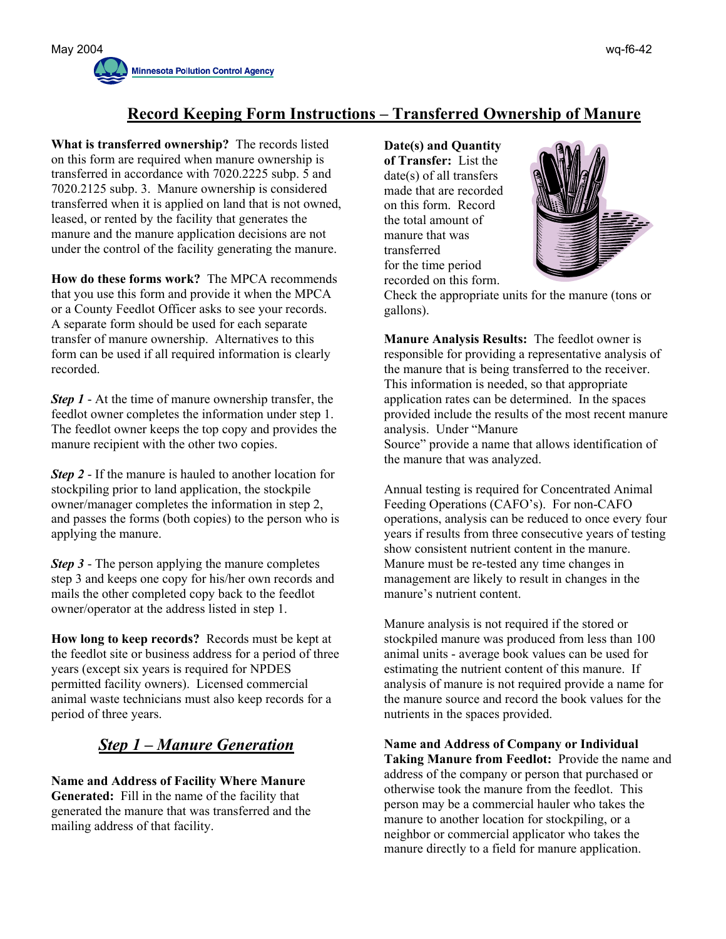

# **Record Keeping Form Instructions – Transferred Ownership of Manure**

**What is transferred ownership?** The records listed on this form are required when manure ownership is transferred in accordance with 7020.2225 subp. 5 and 7020.2125 subp. 3. Manure ownership is considered transferred when it is applied on land that is not owned, leased, or rented by the facility that generates the manure and the manure application decisions are not under the control of the facility generating the manure.

**How do these forms work?** The MPCA recommends that you use this form and provide it when the MPCA or a County Feedlot Officer asks to see your records. A separate form should be used for each separate transfer of manure ownership. Alternatives to this form can be used if all required information is clearly recorded.

*Step 1* - At the time of manure ownership transfer, the feedlot owner completes the information under step 1. The feedlot owner keeps the top copy and provides the manure recipient with the other two copies.

*Step 2* - If the manure is hauled to another location for stockpiling prior to land application, the stockpile owner/manager completes the information in step 2, and passes the forms (both copies) to the person who is applying the manure.

*Step 3* - The person applying the manure completes step 3 and keeps one copy for his/her own records and mails the other completed copy back to the feedlot owner/operator at the address listed in step 1.

**How long to keep records?** Records must be kept at the feedlot site or business address for a period of three years (except six years is required for NPDES permitted facility owners). Licensed commercial animal waste technicians must also keep records for a period of three years.

# *Step 1 – Manure Generation*

**Name and Address of Facility Where Manure Generated:** Fill in the name of the facility that generated the manure that was transferred and the mailing address of that facility.

**Date(s) and Quantity of Transfer:** List the date(s) of all transfers made that are recorded on this form. Record the total amount of manure that was transferred for the time period recorded on this form.



Check the appropriate units for the manure (tons or gallons).

**Manure Analysis Results:** The feedlot owner is responsible for providing a representative analysis of the manure that is being transferred to the receiver. This information is needed, so that appropriate application rates can be determined. In the spaces provided include the results of the most recent manure analysis. Under "Manure Source" provide a name that allows identification of the manure that was analyzed.

Annual testing is required for Concentrated Animal Feeding Operations (CAFO's). For non-CAFO operations, analysis can be reduced to once every four years if results from three consecutive years of testing show consistent nutrient content in the manure. Manure must be re-tested any time changes in management are likely to result in changes in the manure's nutrient content.

Manure analysis is not required if the stored or stockpiled manure was produced from less than 100 animal units - average book values can be used for estimating the nutrient content of this manure. If analysis of manure is not required provide a name for the manure source and record the book values for the nutrients in the spaces provided.

**Name and Address of Company or Individual Taking Manure from Feedlot:** Provide the name and address of the company or person that purchased or otherwise took the manure from the feedlot. This person may be a commercial hauler who takes the manure to another location for stockpiling, or a neighbor or commercial applicator who takes the manure directly to a field for manure application.